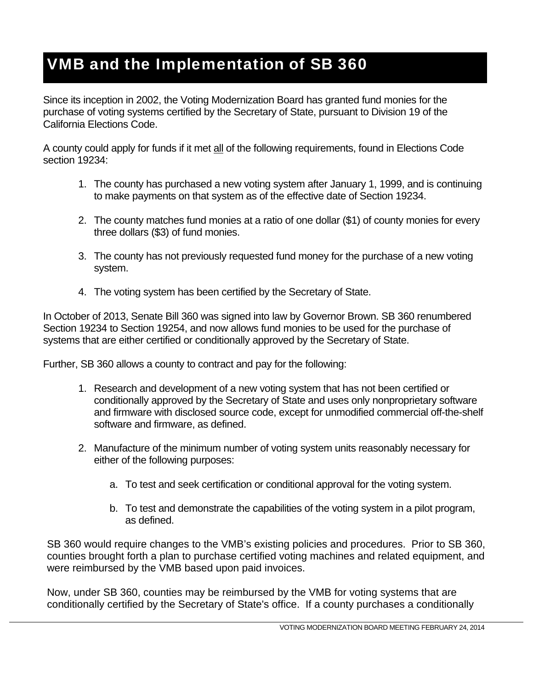## VMB and the Implementation of SB 360

Since its inception in 2002, the Voting Modernization Board has granted fund monies for the purchase of voting systems certified by the Secretary of State, pursuant to Division 19 of the California Elections Code.

A county could apply for funds if it met all of the following requirements, found in Elections Code section 19234:

- 1. The county has purchased a new voting system after January 1, 1999, and is continuing to make payments on that system as of the effective date of Section 19234.
- 2. The county matches fund monies at a ratio of one dollar (\$1) of county monies for every three dollars (\$3) of fund monies.
- 3. The county has not previously requested fund money for the purchase of a new voting system.
- 4. The voting system has been certified by the Secretary of State.

In October of 2013, Senate Bill 360 was signed into law by Governor Brown. SB 360 renumbered Section 19234 to Section 19254, and now allows fund monies to be used for the purchase of systems that are either certified or conditionally approved by the Secretary of State.

Further, SB 360 allows a county to contract and pay for the following:

- 1. Research and development of a new voting system that has not been certified or conditionally approved by the Secretary of State and uses only nonproprietary software and firmware with disclosed source code, except for unmodified commercial off-the-shelf software and firmware, as defined.
- 2. Manufacture of the minimum number of voting system units reasonably necessary for either of the following purposes:
	- a. To test and seek certification or conditional approval for the voting system.
	- b. To test and demonstrate the capabilities of the voting system in a pilot program, as defined.

SB 360 would require changes to the VMB's existing policies and procedures. Prior to SB 360, counties brought forth a plan to purchase certified voting machines and related equipment, and were reimbursed by the VMB based upon paid invoices.

Now, under SB 360, counties may be reimbursed by the VMB for voting systems that are conditionally certified by the Secretary of State's office. If a county purchases a conditionally